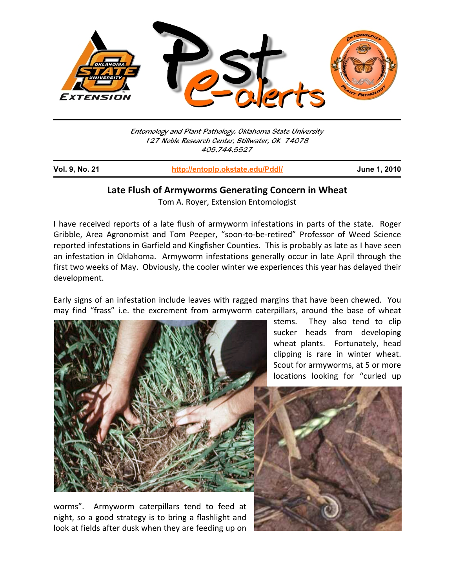

Entomology and Plant Pathology, Oklahoma State University 127 Noble Research Center, Stillwater, OK 74078 405.744.5527

**Vol. 9, No. 21 http://entoplp.okstate.edu/Pddl/ June 1, 2010** j

## **Late Flush of Armyworms Generating Concern in Wheat**

Tom A. Royer, Extension Entomologist

I have received reports of a late flush of armyworm infestations in parts of the state. Roger Gribble, Area Agronomist and Tom Peeper, "soon‐to‐be‐retired" Professor of Weed Science reported infestations in Garfield and Kingfisher Counties. This is probably as late as I have seen an infestation in Oklahoma. Armyworm infestations generally occur in late April through the first two weeks of May. Obviously, the cooler winter we experiences this year has delayed their development.

Early signs of an infestation include leaves with ragged margins that have been chewed. You may find "frass" i.e. the excrement from armyworm caterpillars, around the base of wheat



worms". Armyworm caterpillars tend to feed at night, so a good strategy is to bring a flashlight and look at fields after dusk when they are feeding up on

stems. They also tend to clip sucker heads from developing wheat plants. Fortunately, head clipping is rare in winter wheat. Scout for armyworms, at 5 or more locations looking for "curled up